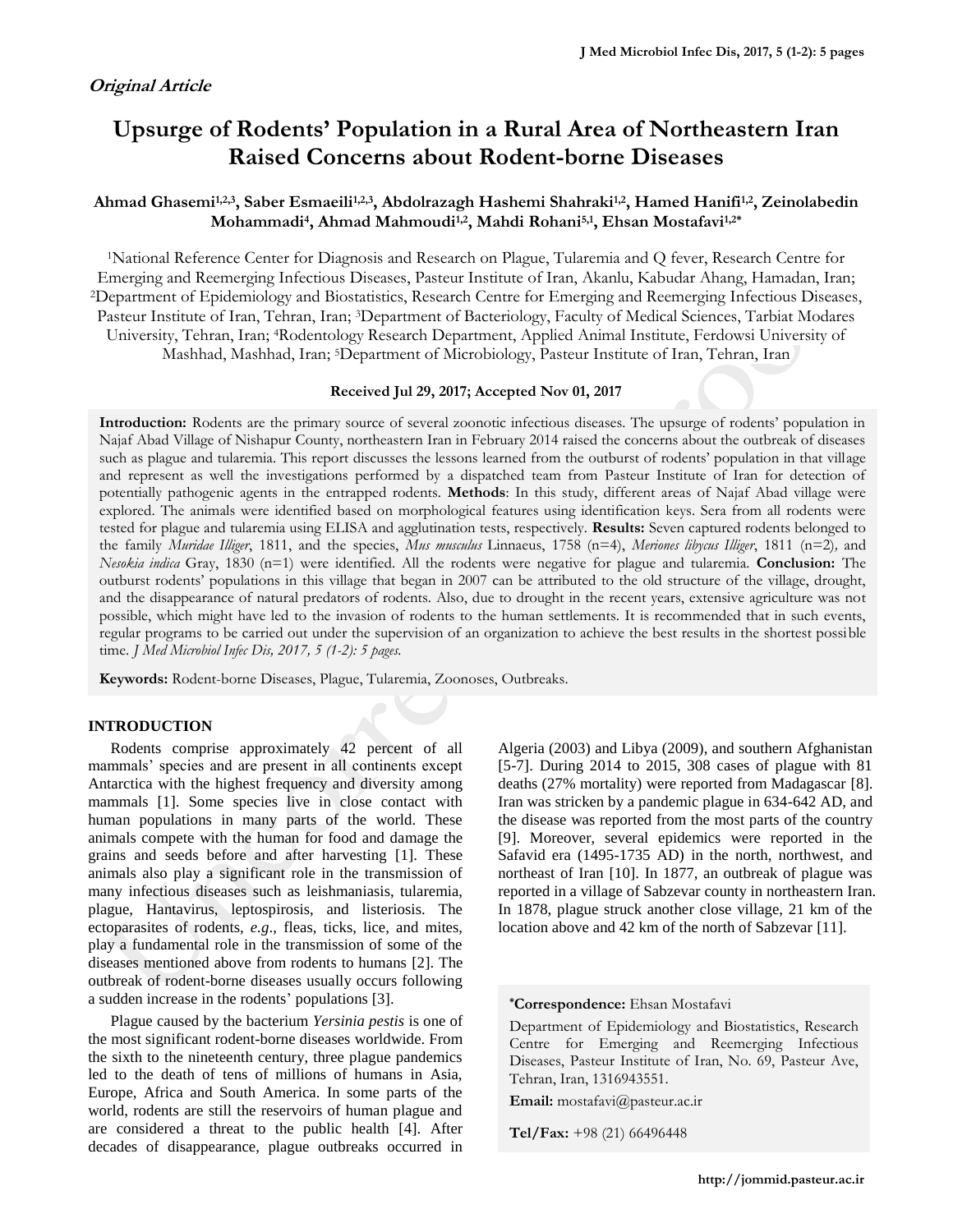# **Upsurge of Rodents' Population in a Rural Area of Northeastern Iran Raised Concerns about Rodent-borne Diseases**

## **Ahmad Ghasemi1,2,3, Saber Esmaeili1,2,3, Abdolrazagh Hashemi Shahraki1,2 , Hamed Hanifi1,2, Zeinolabedin Mohammadi<sup>4</sup> , Ahmad Mahmoudi1,2, Mahdi Rohani5,1, Ehsan Mostafavi1,2\***

<sup>1</sup>National Reference Center for Diagnosis and Research on Plague, Tularemia and Q fever, Research Centre for Emerging and Reemerging Infectious Diseases, Pasteur Institute of Iran, Akanlu, Kabudar Ahang, Hamadan, Iran; <sup>2</sup>Department of Epidemiology and Biostatistics, Research Centre for Emerging and Reemerging Infectious Diseases, Pasteur Institute of Iran, Tehran, Iran; 3Department of Bacteriology, Faculty of Medical Sciences, Tarbiat Modares University, Tehran, Iran; 4Rodentology Research Department, Applied Animal Institute, Ferdowsi University of Mashhad, Mashhad, Iran; 5Department of Microbiology, Pasteur Institute of Iran, Tehran, Iran

#### **Received Jul 29, 2017; Accepted Nov 01, 2017**

**Introduction:** Rodents are the primary source of several zoonotic infectious diseases. The upsurge of rodents' population in Najaf Abad Village of Nishapur County, northeastern Iran in February 2014 raised the concerns about the outbreak of diseases such as plague and tularemia. This report discusses the lessons learned from the outburst of rodents' population in that village and represent as well the investigations performed by a dispatched team from Pasteur Institute of Iran for detection of potentially pathogenic agents in the entrapped rodents. **Methods**: In this study, different areas of Najaf Abad village were explored. The animals were identified based on morphological features using identification keys. Sera from all rodents were tested for plague and tularemia using ELISA and agglutination tests, respectively. **Results:** Seven captured rodents belonged to the family *Muridae Illiger*, 1811, and the species, *Mus musculus* Linnaeus, 1758 (n=4), *Meriones libycus Illiger*, 1811 (n=2)*,* and *Nesokia indica* Gray, 1830 (n=1) were identified. All the rodents were negative for plague and tularemia. **Conclusion:** The outburst rodents' populations in this village that began in 2007 can be attributed to the old structure of the village, drought, and the disappearance of natural predators of rodents. Also, due to drought in the recent years, extensive agriculture was not possible, which might have led to the invasion of rodents to the human settlements. It is recommended that in such events, regular programs to be carried out under the supervision of an organization to achieve the best results in the shortest possible time. *J Med Microbiol Infec Dis, 2017, 5 (1-2): 5 pages.*

**Keywords:** Rodent-borne Diseases, Plague, Tularemia, Zoonoses, Outbreaks.

## **INTRODUCTION**

Rodents comprise approximately 42 percent of all mammals' species and are present in all continents except Antarctica with the highest frequency and diversity among mammals [1]. Some species live in close contact with human populations in many parts of the world. These animals compete with the human for food and damage the grains and seeds before and after harvesting [1]. These animals also play a significant role in the transmission of many infectious diseases such as leishmaniasis, tularemia, plague, Hantavirus, leptospirosis, and listeriosis. The ectoparasites of rodents, *e.g*., fleas, ticks, lice, and mites, play a fundamental role in the transmission of some of the diseases mentioned above from rodents to humans [2]. The outbreak of rodent-borne diseases usually occurs following a sudden increase in the rodents' populations [3].

Plague caused by the bacterium *Yersinia pestis* is one of the most significant rodent-borne diseases worldwide. From the sixth to the nineteenth century, three plague pandemics led to the death of tens of millions of humans in Asia, Europe, Africa and South America. In some parts of the world, rodents are still the reservoirs of human plague and are considered a threat to the public health [4]. After decades of disappearance, plague outbreaks occurred in

Algeria (2003) and Libya (2009), and southern Afghanistan [5-7]. During 2014 to 2015, 308 cases of plague with 81 deaths (27% mortality) were reported from Madagascar [8]. Iran was stricken by a pandemic plague in 634-642 AD, and the disease was reported from the most parts of the country [9]. Moreover, several epidemics were reported in the Safavid era (1495-1735 AD) in the north, northwest, and northeast of Iran [10]. In 1877, an outbreak of plague was reported in a village of Sabzevar county in northeastern Iran. In 1878, plague struck another close village, 21 km of the location above and 42 km of the north of Sabzevar [11].

#### **\*Correspondence:** Ehsan Mostafavi

Department of Epidemiology and Biostatistics, Research Centre for Emerging and Reemerging Infectious Diseases, Pasteur Institute of Iran, No. 69, Pasteur Ave, Tehran, Iran, 1316943551.

**Email:** mostafavi@pasteur.ac.ir

**Tel/Fax:** +98 (21) 66496448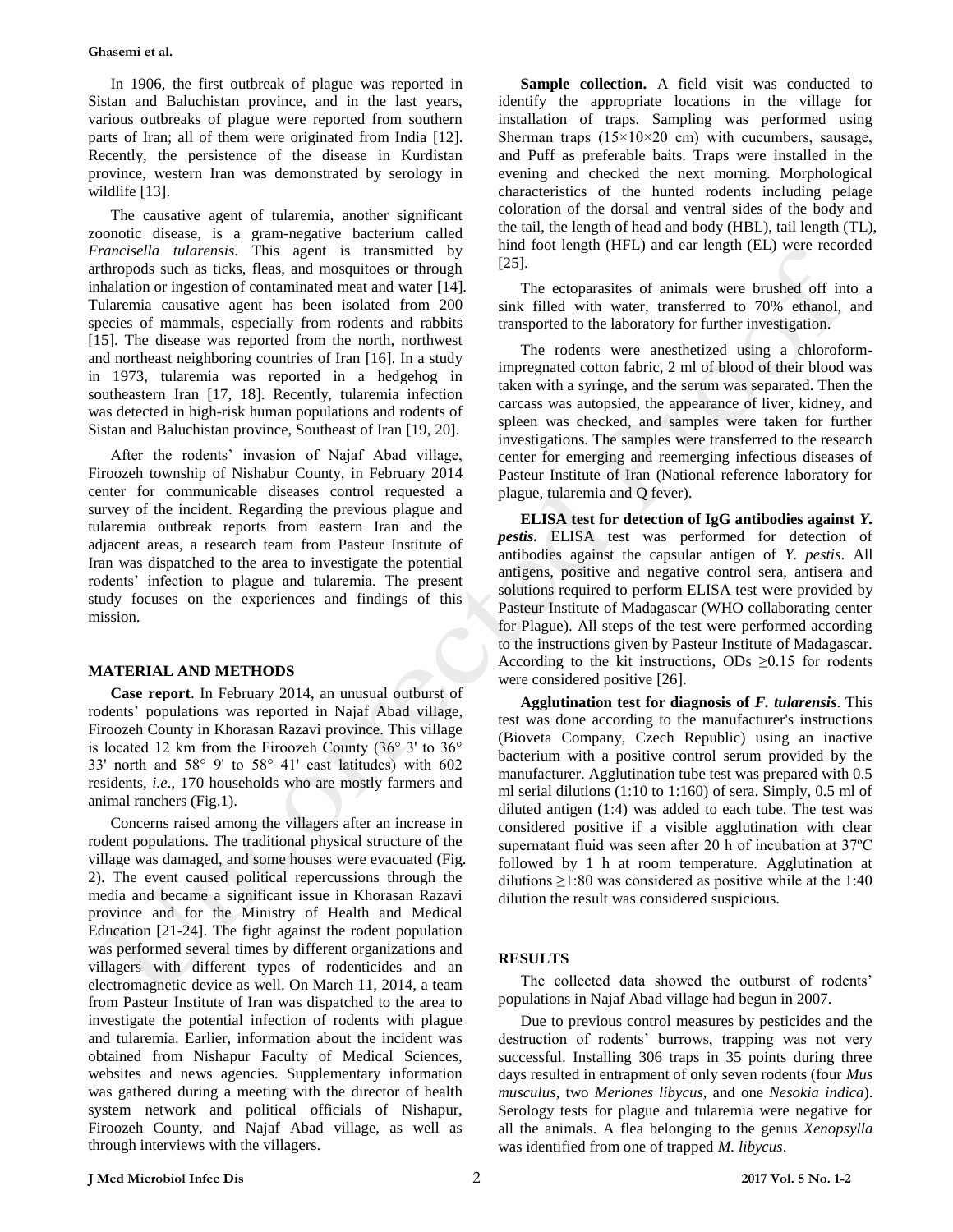In 1906, the first outbreak of plague was reported in Sistan and Baluchistan province, and in the last years, various outbreaks of plague were reported from southern parts of Iran; all of them were originated from India [12]. Recently, the persistence of the disease in Kurdistan province, western Iran was demonstrated by serology in wildlife [13].

The causative agent of tularemia, another significant zoonotic disease, is a gram-negative bacterium called *Francisella tularensis*. This agent is transmitted by arthropods such as ticks, fleas, and mosquitoes or through inhalation or ingestion of contaminated meat and water [14]. Tularemia causative agent has been isolated from 200 species of mammals, especially from rodents and rabbits [15]. The disease was reported from the north, northwest and northeast neighboring countries of Iran [16]. In a study in 1973, tularemia was reported in a hedgehog in southeastern Iran [17, 18]. Recently, tularemia infection was detected in high-risk human populations and rodents of Sistan and Baluchistan province, Southeast of Iran [19, 20].

After the rodents' invasion of Najaf Abad village, Firoozeh township of Nishabur County, in February 2014 center for communicable diseases control requested a survey of the incident. Regarding the previous plague and tularemia outbreak reports from eastern Iran and the adjacent areas, a research team from Pasteur Institute of Iran was dispatched to the area to investigate the potential rodents' infection to plague and tularemia. The present study focuses on the experiences and findings of this mission.

## **MATERIAL AND METHODS**

**Case report**. In February 2014, an unusual outburst of rodents' populations was reported in Najaf Abad village, Firoozeh County in Khorasan Razavi province. This village is located 12 km from the Firoozeh County (36° 3' to 36° 33' north and 58° 9' to 58° 41' east latitudes) with 602 residents, *i.e*., 170 households who are mostly farmers and animal ranchers (Fig.1).

Concerns raised among the villagers after an increase in rodent populations. The traditional physical structure of the village was damaged, and some houses were evacuated (Fig. 2). The event caused political repercussions through the media and became a significant issue in Khorasan Razavi province and for the Ministry of Health and Medical Education [21-24]. The fight against the rodent population was performed several times by different organizations and villagers with different types of rodenticides and an electromagnetic device as well. On March 11, 2014, a team from Pasteur Institute of Iran was dispatched to the area to investigate the potential infection of rodents with plague and tularemia. Earlier, information about the incident was obtained from Nishapur Faculty of Medical Sciences, websites and news agencies. Supplementary information was gathered during a meeting with the director of health system network and political officials of Nishapur, Firoozeh County, and Najaf Abad village, as well as through interviews with the villagers.

**Sample collection.** A field visit was conducted to identify the appropriate locations in the village for installation of traps. Sampling was performed using Sherman traps  $(15\times10\times20$  cm) with cucumbers, sausage, and Puff as preferable baits. Traps were installed in the evening and checked the next morning. Morphological characteristics of the hunted rodents including pelage coloration of the dorsal and ventral sides of the body and the tail, the length of head and body (HBL), tail length (TL), hind foot length (HFL) and ear length (EL) were recorded [25].

The ectoparasites of animals were brushed off into a sink filled with water, transferred to 70% ethanol, and transported to the laboratory for further investigation.

The rodents were anesthetized using a chloroformimpregnated cotton fabric, 2 ml of blood of their blood was taken with a syringe, and the serum was separated. Then the carcass was autopsied, the appearance of liver, kidney, and spleen was checked, and samples were taken for further investigations. The samples were transferred to the research center for emerging and reemerging infectious diseases of Pasteur Institute of Iran (National reference laboratory for plague, tularemia and Q fever).

**ELISA test for detection of IgG antibodies against** *Y. pestis***.** ELISA test was performed for detection of antibodies against the capsular antigen of *Y. pestis*. All antigens, positive and negative control sera, antisera and solutions required to perform ELISA test were provided by Pasteur Institute of Madagascar (WHO collaborating center for Plague). All steps of the test were performed according to the instructions given by Pasteur Institute of Madagascar. According to the kit instructions, ODs  $\geq 0.15$  for rodents were considered positive [26].

**Agglutination test for diagnosis of** *F. tularensis*. This test was done according to the manufacturer's instructions (Bioveta Company, Czech Republic) using an inactive bacterium with a positive control serum provided by the manufacturer. Agglutination tube test was prepared with 0.5 ml serial dilutions (1:10 to 1:160) of sera. Simply, 0.5 ml of diluted antigen (1:4) was added to each tube. The test was considered positive if a visible agglutination with clear supernatant fluid was seen after 20 h of incubation at 37ºC followed by 1 h at room temperature. Agglutination at dilutions  $\geq$ 1:80 was considered as positive while at the 1:40 dilution the result was considered suspicious.

## **RESULTS**

The collected data showed the outburst of rodents' populations in Najaf Abad village had begun in 2007.

Due to previous control measures by pesticides and the destruction of rodents' burrows, trapping was not very successful. Installing 306 traps in 35 points during three days resulted in entrapment of only seven rodents (four *Mus musculus*, two *Meriones libycus,* and one *Nesokia indica*). Serology tests for plague and tularemia were negative for all the animals. A flea belonging to the genus *Xenopsylla* was identified from one of trapped *M. libycus*.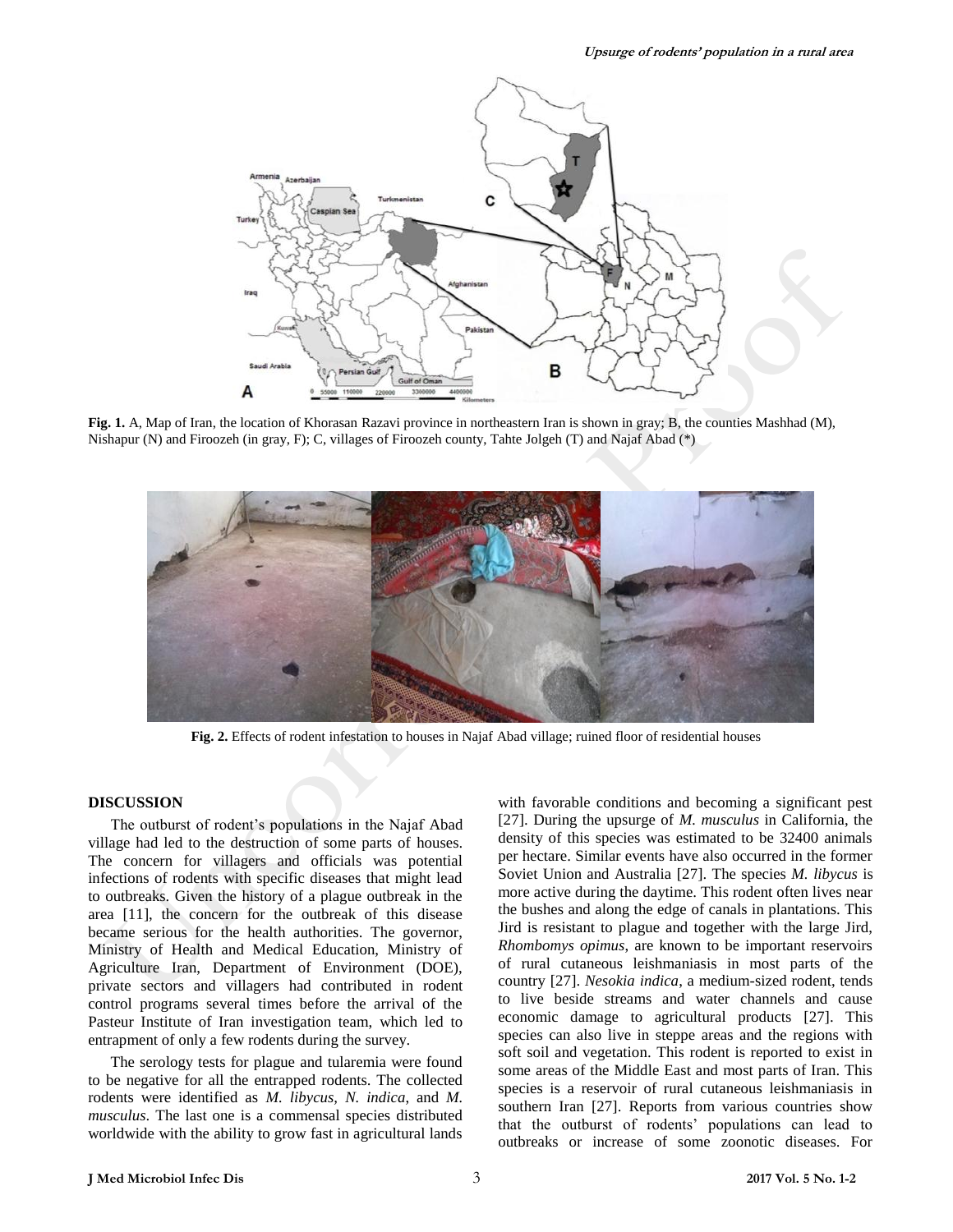

**Fig. 1.** A, Map of Iran, the location of Khorasan Razavi province in northeastern Iran is shown in gray; B, the counties Mashhad (M), Nishapur (N) and Firoozeh (in gray, F); C, villages of Firoozeh county, Tahte Jolgeh (T) and Najaf Abad (\*)



**Fig. 2.** Effects of rodent infestation to houses in Najaf Abad village; ruined floor of residential houses

## **DISCUSSION**

The outburst of rodent's populations in the Najaf Abad village had led to the destruction of some parts of houses. The concern for villagers and officials was potential infections of rodents with specific diseases that might lead to outbreaks. Given the history of a plague outbreak in the area [11], the concern for the outbreak of this disease became serious for the health authorities. The governor, Ministry of Health and Medical Education, Ministry of Agriculture Iran, Department of Environment (DOE), private sectors and villagers had contributed in rodent control programs several times before the arrival of the Pasteur Institute of Iran investigation team, which led to entrapment of only a few rodents during the survey.

The serology tests for plague and tularemia were found to be negative for all the entrapped rodents. The collected rodents were identified as *M. libycus, N. indica*, and *M. musculus*. The last one is a commensal species distributed worldwide with the ability to grow fast in agricultural lands with favorable conditions and becoming a significant pest [27]. During the upsurge of *M. musculus* in California, the density of this species was estimated to be 32400 animals per hectare. Similar events have also occurred in the former Soviet Union and Australia [27]. The species *M. libycus* is more active during the daytime. This rodent often lives near the bushes and along the edge of canals in plantations. This Jird is resistant to plague and together with the large Jird, *Rhombomys opimus*, are known to be important reservoirs of rural cutaneous leishmaniasis in most parts of the country [27]. *Nesokia indica*, a medium-sized rodent, tends to live beside streams and water channels and cause economic damage to agricultural products [27]. This species can also live in steppe areas and the regions with soft soil and vegetation. This rodent is reported to exist in some areas of the Middle East and most parts of Iran. This species is a reservoir of rural cutaneous leishmaniasis in southern Iran [27]. Reports from various countries show that the outburst of rodents' populations can lead to outbreaks or increase of some zoonotic diseases. For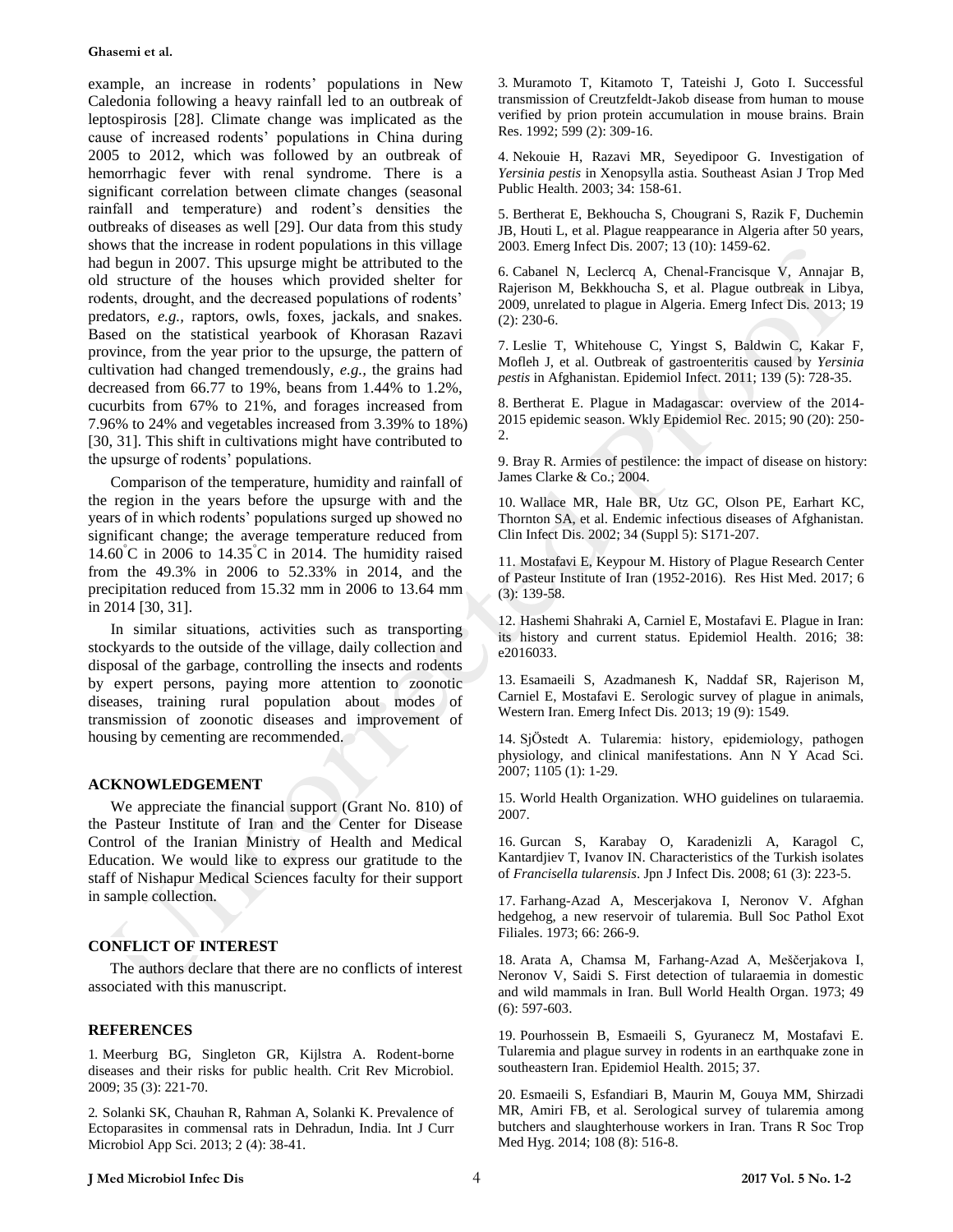## **Ghasemi et al.**

example, an increase in rodents' populations in New Caledonia following a heavy rainfall led to an outbreak of leptospirosis [28]. Climate change was implicated as the cause of increased rodents' populations in China during 2005 to 2012, which was followed by an outbreak of hemorrhagic fever with renal syndrome. There is a significant correlation between climate changes (seasonal rainfall and temperature) and rodent's densities the outbreaks of diseases as well [29]. Our data from this study shows that the increase in rodent populations in this village had begun in 2007. This upsurge might be attributed to the old structure of the houses which provided shelter for rodents, drought, and the decreased populations of rodents' predators, *e.g.,* raptors, owls, foxes, jackals, and snakes. Based on the statistical yearbook of Khorasan Razavi province, from the year prior to the upsurge, the pattern of cultivation had changed tremendously, *e.g.,* the grains had decreased from 66.77 to 19%, beans from 1.44% to 1.2%, cucurbits from 67% to 21%, and forages increased from 7.96% to 24% and vegetables increased from 3.39% to 18%) [30, 31]. This shift in cultivations might have contributed to the upsurge of rodents' populations.

Comparison of the temperature, humidity and rainfall of the region in the years before the upsurge with and the years of in which rodents' populations surged up showed no significant change; the average temperature reduced from 14.60°C in 2006 to 14.35°C in 2014. The humidity raised from the 49.3% in 2006 to 52.33% in 2014, and the precipitation reduced from 15.32 mm in 2006 to 13.64 mm in 2014 [30, 31].

In similar situations, activities such as transporting stockyards to the outside of the village, daily collection and disposal of the garbage, controlling the insects and rodents by expert persons, paying more attention to zoonotic diseases, training rural population about modes of transmission of zoonotic diseases and improvement of housing by cementing are recommended.

## **ACKNOWLEDGEMENT**

We appreciate the financial support (Grant No. 810) of the Pasteur Institute of Iran and the Center for Disease Control of the Iranian Ministry of Health and Medical Education. We would like to express our gratitude to the staff of Nishapur Medical Sciences faculty for their support in sample collection.

## **CONFLICT OF INTEREST**

The authors declare that there are no conflicts of interest associated with this manuscript.

## **REFERENCES**

1. Meerburg BG, Singleton GR, Kijlstra A. Rodent-borne diseases and their risks for public health. Crit Rev Microbiol. 2009; 35 (3): 221-70.

2. Solanki SK, Chauhan R, Rahman A, Solanki K. Prevalence of Ectoparasites in commensal rats in Dehradun, India. Int J Curr Microbiol App Sci. 2013; 2 (4): 38-41.

3. Muramoto T, Kitamoto T, Tateishi J, Goto I. Successful transmission of Creutzfeldt-Jakob disease from human to mouse verified by prion protein accumulation in mouse brains. Brain Res. 1992; 599 (2): 309-16.

4. Nekouie H, Razavi MR, Seyedipoor G. Investigation of *Yersinia pestis* in Xenopsylla astia. Southeast Asian J Trop Med Public Health. 2003; 34: 158-61.

5. Bertherat E, Bekhoucha S, Chougrani S, Razik F, Duchemin JB, Houti L, et al. Plague reappearance in Algeria after 50 years, 2003. Emerg Infect Dis. 2007; 13 (10): 1459-62.

6. Cabanel N, Leclercq A, Chenal-Francisque V, Annajar B, Rajerison M, Bekkhoucha S, et al. Plague outbreak in Libya, 2009, unrelated to plague in Algeria. Emerg Infect Dis. 2013; 19 (2): 230-6.

7. Leslie T, Whitehouse C, Yingst S, Baldwin C, Kakar F, Mofleh J, et al. Outbreak of gastroenteritis caused by *Yersinia pestis* in Afghanistan. Epidemiol Infect. 2011; 139 (5): 728-35.

8. Bertherat E. Plague in Madagascar: overview of the 2014- 2015 epidemic season. Wkly Epidemiol Rec. 2015; 90 (20): 250- 2.

9. Bray R. Armies of pestilence: the impact of disease on history: James Clarke & Co.; 2004.

10. Wallace MR, Hale BR, Utz GC, Olson PE, Earhart KC, Thornton SA, et al. Endemic infectious diseases of Afghanistan. Clin Infect Dis. 2002; 34 (Suppl 5): S171-207.

11. Mostafavi E, Keypour M. History of Plague Research Center of Pasteur Institute of Iran (1952-2016). Res Hist Med. 2017; 6 (3): 139-58.

12. Hashemi Shahraki A, Carniel E, Mostafavi E. Plague in Iran: its history and current status. Epidemiol Health. 2016; 38: e2016033.

13. Esamaeili S, Azadmanesh K, Naddaf SR, Rajerison M, Carniel E, Mostafavi E. Serologic survey of plague in animals, Western Iran. Emerg Infect Dis. 2013; 19 (9): 1549.

14. SjÖstedt A. Tularemia: history, epidemiology, pathogen physiology, and clinical manifestations. Ann N Y Acad Sci. 2007; 1105 (1): 1-29.

15. World Health Organization. WHO guidelines on tularaemia. 2007.

16. Gurcan S, Karabay O, Karadenizli A, Karagol C, Kantardjiev T, Ivanov IN. Characteristics of the Turkish isolates of *Francisella tularensis*. Jpn J Infect Dis. 2008; 61 (3): 223-5.

17. Farhang-Azad A, Mescerjakova I, Neronov V. Afghan hedgehog, a new reservoir of tularemia. Bull Soc Pathol Exot Filiales. 1973; 66: 266-9.

18. Arata A, Chamsa M, Farhang-Azad A, Meščerjakova I, Neronov V, Saidi S. First detection of tularaemia in domestic and wild mammals in Iran. Bull World Health Organ. 1973; 49 (6): 597-603.

19. Pourhossein B, Esmaeili S, Gyuranecz M, Mostafavi E. Tularemia and plague survey in rodents in an earthquake zone in southeastern Iran. Epidemiol Health. 2015; 37.

20. Esmaeili S, Esfandiari B, Maurin M, Gouya MM, Shirzadi MR, Amiri FB, et al. Serological survey of tularemia among butchers and slaughterhouse workers in Iran. Trans R Soc Trop Med Hyg. 2014; 108 (8): 516-8.